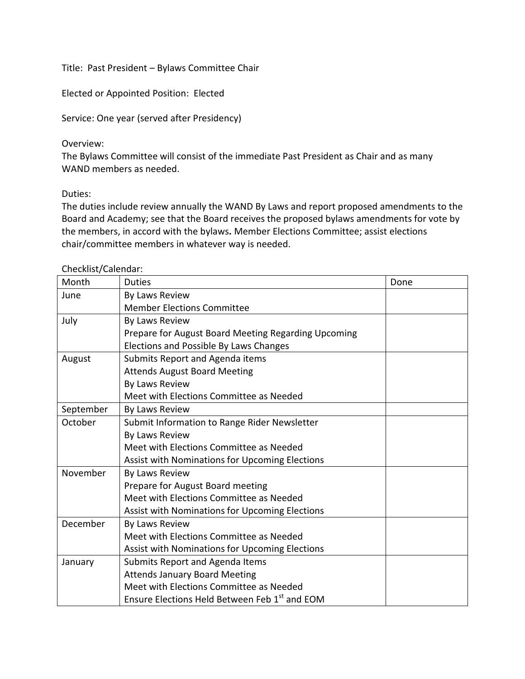Title: Past President – Bylaws Committee Chair

Elected or Appointed Position: Elected

Service: One year (served after Presidency)

## Overview:

The Bylaws Committee will consist of the immediate Past President as Chair and as many WAND members as needed.

## Duties:

The duties include review annually the WAND By Laws and report proposed amendments to the Board and Academy; see that the Board receives the proposed bylaws amendments for vote by the members, in accord with the bylaws**.** Member Elections Committee; assist elections chair/committee members in whatever way is needed.

## Checklist/Calendar:

| Month     | <b>Duties</b>                                             | Done |
|-----------|-----------------------------------------------------------|------|
| June      | By Laws Review                                            |      |
|           | <b>Member Elections Committee</b>                         |      |
| July      | By Laws Review                                            |      |
|           | Prepare for August Board Meeting Regarding Upcoming       |      |
|           | Elections and Possible By Laws Changes                    |      |
| August    | Submits Report and Agenda items                           |      |
|           | <b>Attends August Board Meeting</b>                       |      |
|           | By Laws Review                                            |      |
|           | Meet with Elections Committee as Needed                   |      |
| September | By Laws Review                                            |      |
| October   | Submit Information to Range Rider Newsletter              |      |
|           | By Laws Review                                            |      |
|           | Meet with Elections Committee as Needed                   |      |
|           | Assist with Nominations for Upcoming Elections            |      |
| November  | By Laws Review                                            |      |
|           | Prepare for August Board meeting                          |      |
|           | Meet with Elections Committee as Needed                   |      |
|           | Assist with Nominations for Upcoming Elections            |      |
| December  | By Laws Review                                            |      |
|           | Meet with Elections Committee as Needed                   |      |
|           | Assist with Nominations for Upcoming Elections            |      |
| January   | Submits Report and Agenda Items                           |      |
|           | <b>Attends January Board Meeting</b>                      |      |
|           | Meet with Elections Committee as Needed                   |      |
|           | Ensure Elections Held Between Feb 1 <sup>st</sup> and EOM |      |